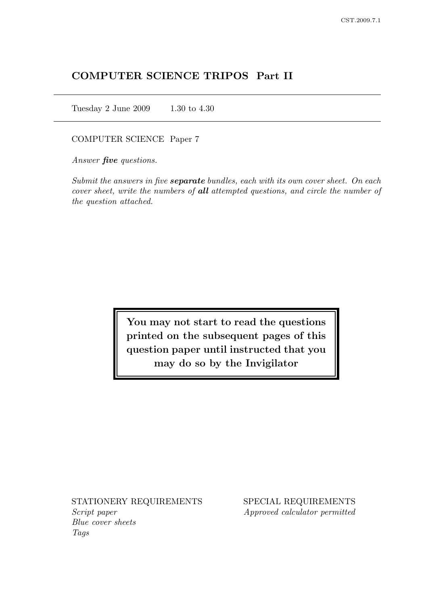# COMPUTER SCIENCE TRIPOS Part II

Tuesday 2 June 2009 1.30 to 4.30

COMPUTER SCIENCE Paper 7

Answer **five** questions.

Submit the answers in five **separate** bundles, each with its own cover sheet. On each cover sheet, write the numbers of all attempted questions, and circle the number of the question attached.

> You may not start to read the questions printed on the subsequent pages of this question paper until instructed that you may do so by the Invigilator

Script paper Approved calculator permitted Blue cover sheets Tags

STATIONERY REQUIREMENTS SPECIAL REQUIREMENTS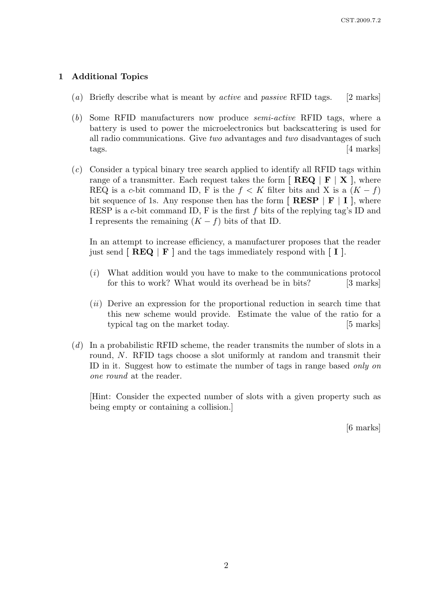## 1 Additional Topics

- (a) Briefly describe what is meant by *active* and *passive* RFID tags. [2 marks]
- (b) Some RFID manufacturers now produce semi-active RFID tags, where a battery is used to power the microelectronics but backscattering is used for all radio communications. Give two advantages and two disadvantages of such tags. [4 marks]
- (c) Consider a typical binary tree search applied to identify all RFID tags within range of a transmitter. Each request takes the form  $\lceil \text{ REQ} \rceil \rceil \text{X}$ , where REQ is a c-bit command ID, F is the  $f < K$  filter bits and X is a  $(K - f)$ bit sequence of 1s. Any response then has the form  $\left[ \n\ \mathbf{RESP} \mid \mathbf{F} \mid \mathbf{I} \right]$ , where RESP is a c-bit command ID, F is the first f bits of the replying tag's ID and I represents the remaining  $(K - f)$  bits of that ID.

In an attempt to increase efficiency, a manufacturer proposes that the reader just send  $\lceil \text{REQ} \rceil \text{F} \rceil$  and the tags immediately respond with  $\lceil \text{I} \rceil$ .

- (i) What addition would you have to make to the communications protocol for this to work? What would its overhead be in bits? [3 marks]
- $(ii)$  Derive an expression for the proportional reduction in search time that this new scheme would provide. Estimate the value of the ratio for a typical tag on the market today. [5 marks]
- (d) In a probabilistic RFID scheme, the reader transmits the number of slots in a round, N. RFID tags choose a slot uniformly at random and transmit their ID in it. Suggest how to estimate the number of tags in range based only on one round at the reader.

[Hint: Consider the expected number of slots with a given property such as being empty or containing a collision.]

[6 marks]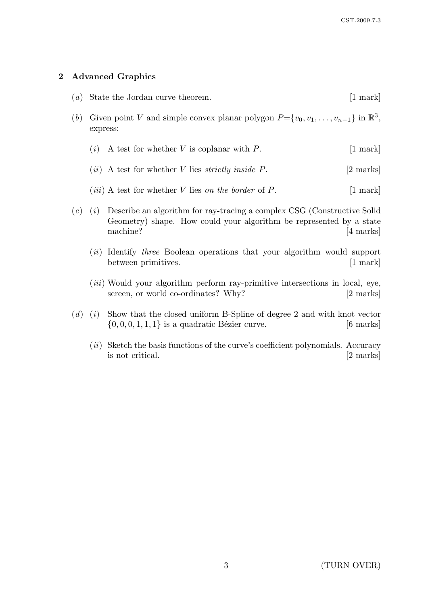# 2 Advanced Graphics

| (a) |                                                                                                                     | State the Jordan curve theorem.                                                                                                                            | $[1 \text{ mark}]$            |
|-----|---------------------------------------------------------------------------------------------------------------------|------------------------------------------------------------------------------------------------------------------------------------------------------------|-------------------------------|
| (b) | Given point V and simple convex planar polygon $P = \{v_0, v_1, \ldots, v_{n-1}\}\$ in $\mathbb{R}^3$ ,<br>express: |                                                                                                                                                            |                               |
|     | (i)                                                                                                                 | A test for whether $V$ is coplanar with $P$ .                                                                                                              | $\left[1 \text{ mark}\right]$ |
|     |                                                                                                                     | $(ii)$ A test for whether V lies <i>strictly inside P</i> .                                                                                                | [2 marks]                     |
|     |                                                                                                                     | ( <i>iii</i> ) A test for whether V lies on the border of P.                                                                                               | $[1 \text{ mark}]$            |
| (c) | (i)                                                                                                                 | Describe an algorithm for ray-tracing a complex CSG (Constructive Solid<br>Geometry) shape. How could your algorithm be represented by a state<br>machine? | 4 marks                       |
|     | $\left( u\right)$                                                                                                   | Identify <i>three</i> Boolean operations that your algorithm would support<br>between primitives.                                                          | 1 mark                        |

- $(iii)$  Would your algorithm perform ray-primitive intersections in local, eye, screen, or world co-ordinates? Why? [2 marks]
- $(d)$  (i) Show that the closed uniform B-Spline of degree 2 and with knot vector  $\{0, 0, 0, 1, 1, 1\}$  is a quadratic Bézier curve. [6 marks]
	- $(ii)$  Sketch the basis functions of the curve's coefficient polynomials. Accuracy is not critical. [2 marks]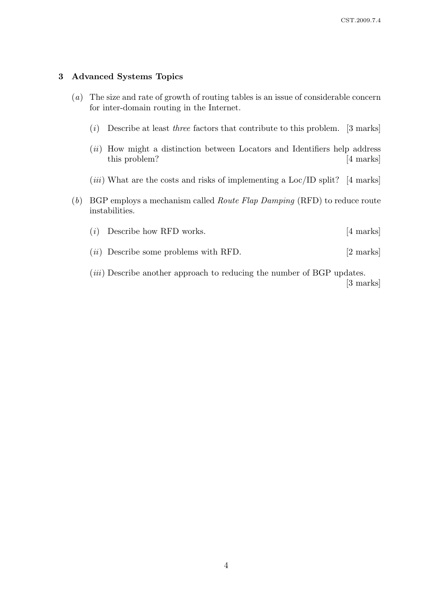### 3 Advanced Systems Topics

- (a) The size and rate of growth of routing tables is an issue of considerable concern for inter-domain routing in the Internet.
	- $(i)$  Describe at least *three* factors that contribute to this problem. [3 marks]
	- (*ii*) How might a distinction between Locators and Identifiers help address this problem? [4 marks]
	- $(iii)$  What are the costs and risks of implementing a Loc/ID split? [4 marks]
- (b) BGP employs a mechanism called *Route Flap Damping* (RFD) to reduce route instabilities.
	- $(i)$  Describe how RFD works.  $[4 \text{ marks}]$
	- $(ii)$  Describe some problems with RFD.  $[2 \text{ marks}]$

(*iii*) Describe another approach to reducing the number of BGP updates. [3 marks]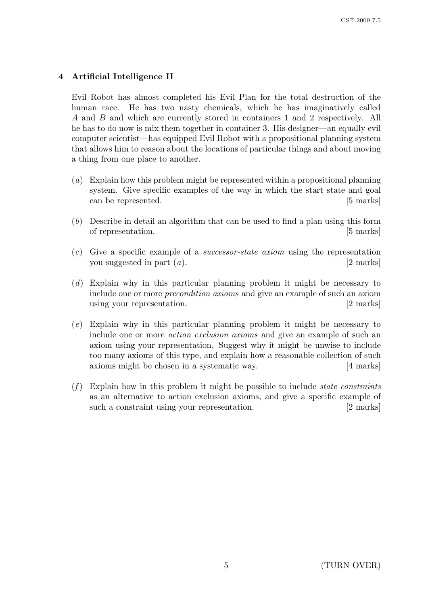# 4 Artificial Intelligence II

Evil Robot has almost completed his Evil Plan for the total destruction of the human race. He has two nasty chemicals, which he has imaginatively called A and B and which are currently stored in containers 1 and 2 respectively. All he has to do now is mix them together in container 3. His designer—an equally evil computer scientist—has equipped Evil Robot with a propositional planning system that allows him to reason about the locations of particular things and about moving a thing from one place to another.

- (a) Explain how this problem might be represented within a propositional planning system. Give specific examples of the way in which the start state and goal can be represented. [5 marks]
- (b) Describe in detail an algorithm that can be used to find a plan using this form of representation. [5 marks]
- (c) Give a specific example of a successor-state axiom using the representation you suggested in part  $(a)$ . [2 marks]
- (d) Explain why in this particular planning problem it might be necessary to include one or more precondition axioms and give an example of such an axiom using your representation. [2 marks]
- (e) Explain why in this particular planning problem it might be necessary to include one or more action exclusion axioms and give an example of such an axiom using your representation. Suggest why it might be unwise to include too many axioms of this type, and explain how a reasonable collection of such axioms might be chosen in a systematic way. [4 marks]
- $(f)$  Explain how in this problem it might be possible to include *state constraints* as an alternative to action exclusion axioms, and give a specific example of such a constraint using your representation. [2 marks]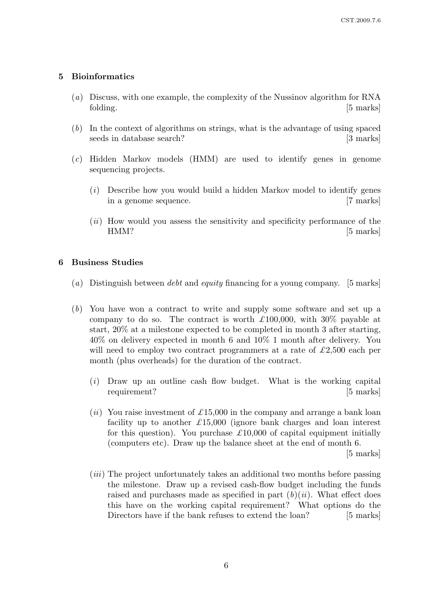## 5 Bioinformatics

- (a) Discuss, with one example, the complexity of the Nussinov algorithm for RNA folding. [5 marks]
- (b) In the context of algorithms on strings, what is the advantage of using spaced seeds in database search? [3 marks]
- (c) Hidden Markov models (HMM) are used to identify genes in genome sequencing projects.
	- (i) Describe how you would build a hidden Markov model to identify genes in a genome sequence. [7 marks]
	- (*ii*) How would you assess the sensitivity and specificity performance of the HMM? [5 marks]

### 6 Business Studies

- (a) Distinguish between *debt* and *equity* financing for a young company. [5 marks]
- (b) You have won a contract to write and supply some software and set up a company to do so. The contract is worth  $\pounds$ 100,000, with 30% payable at start, 20% at a milestone expected to be completed in month 3 after starting, 40% on delivery expected in month 6 and 10% 1 month after delivery. You will need to employ two contract programmers at a rate of  $\pounds$ 2,500 each per month (plus overheads) for the duration of the contract.
	- (i) Draw up an outline cash flow budget. What is the working capital requirement? [5 marks]
	- (ii) You raise investment of £15,000 in the company and arrange a bank loan facility up to another  $\pounds 15,000$  (ignore bank charges and loan interest for this question). You purchase  $\mathcal{L}10,000$  of capital equipment initially (computers etc). Draw up the balance sheet at the end of month 6.

[5 marks]

(iii) The project unfortunately takes an additional two months before passing the milestone. Draw up a revised cash-flow budget including the funds raised and purchases made as specified in part  $(b)(ii)$ . What effect does this have on the working capital requirement? What options do the Directors have if the bank refuses to extend the loan? [5 marks]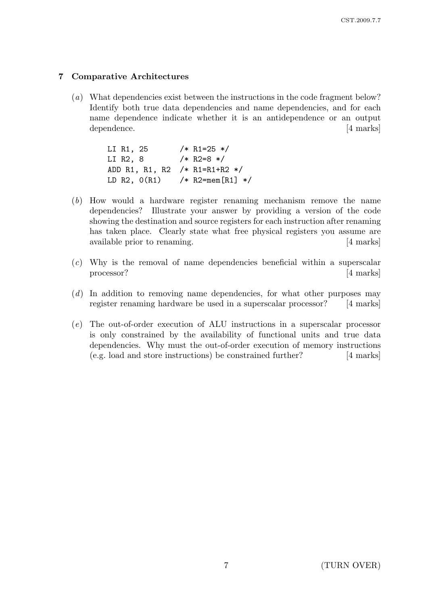## 7 Comparative Architectures

(a) What dependencies exist between the instructions in the code fragment below? Identify both true data dependencies and name dependencies, and for each name dependence indicate whether it is an antidependence or an output dependence. [4 marks]

| LI R1, 25      | $/* R1=25 */$       |
|----------------|---------------------|
| LI R2, 8       | $/* R2=8*/$         |
| ADD R1, R1, R2 | $/* R1=R1+R2*/$     |
| LD $R2, 0(R1)$ | /* R2=mem [R1] $*/$ |

- (b) How would a hardware register renaming mechanism remove the name dependencies? Illustrate your answer by providing a version of the code showing the destination and source registers for each instruction after renaming has taken place. Clearly state what free physical registers you assume are available prior to renaming. [4 marks]
- (c) Why is the removal of name dependencies beneficial within a superscalar processor? [4 marks]
- (d) In addition to removing name dependencies, for what other purposes may register renaming hardware be used in a superscalar processor? [4 marks]
- (e) The out-of-order execution of ALU instructions in a superscalar processor is only constrained by the availability of functional units and true data dependencies. Why must the out-of-order execution of memory instructions (e.g. load and store instructions) be constrained further? [4 marks]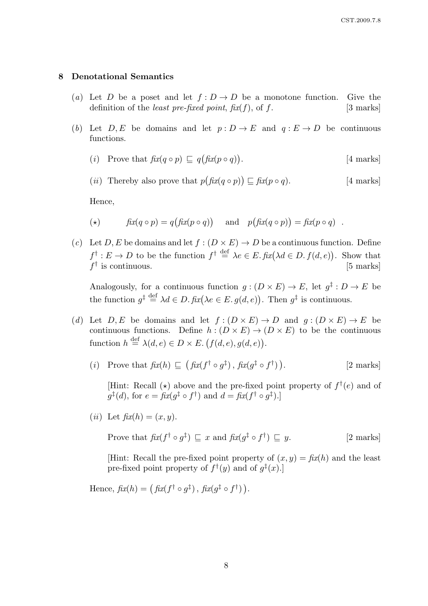### 8 Denotational Semantics

- (a) Let D be a poset and let  $f: D \to D$  be a monotone function. Give the definition of the *least pre-fixed point*,  $f(x(f))$ , of f. [3 marks]
- (b) Let  $D, E$  be domains and let  $p : D \to E$  and  $q : E \to D$  be continuous functions.
	- (*i*) Prove that  $\operatorname{fix}(q \circ p) \sqsubseteq q(\operatorname{fix}(p \circ q))$ . [4 marks]
	- (*ii*) Thereby also prove that  $p(fix(q \circ p)) \sqsubseteq fix(p \circ q)$ . [4 marks]

Hence,

- (\*)  $fix(q \circ p) = q(fix(p \circ q))$  and  $p(fix(q \circ p)) = fix(p \circ q)$ .
- (c) Let D, E be domains and let  $f : (D \times E) \to D$  be a continuous function. Define  $f^{\dagger}: E \to D$  to be the function  $f^{\dagger} \stackrel{\text{def}}{=} \lambda e \in E$ .  $\text{fix}(\lambda d \in D, f(d, e))$ . Show that  $f^{\dagger}$  is continuous. [5 marks]

Analogously, for a continuous function  $g:(D\times E)\to E$ , let  $g^{\ddagger}:D\to E$  be the function  $g^{\ddagger} \stackrel{\text{def}}{=} \lambda d \in D$ .  $\mathit{fix}(\lambda e \in E. g(d, e))$ . Then  $g^{\ddagger}$  is continuous.

- (d) Let  $D, E$  be domains and let  $f : (D \times E) \to D$  and  $q : (D \times E) \to E$  be continuous functions. Define  $h : (D \times E) \to (D \times E)$  to be the continuous function  $h \stackrel{\text{def}}{=} \lambda(d, e) \in D \times E$ .  $(f(d, e), g(d, e))$ .
	- (*i*) Prove that  $\text{fix}(h) \sqsubseteq (\text{fix}(f^{\dagger} \circ g^{\ddagger}), \text{fix}(g^{\ddagger} \circ f^{\dagger}))$ [2 marks]

[Hint: Recall  $(\star)$  above and the pre-fixed point property of  $f^{\dagger}(e)$  and of  $g^{\ddagger}(d)$ , for  $e = f\hat{i}x(g^{\ddagger} \circ f^{\dagger})$  and  $d = f\hat{i}x(f^{\dagger} \circ g^{\ddagger})$ .

(ii) Let  $\operatorname{fix}(h) = (x, y)$ .

Prove that  $\operatorname{fix}(f^{\dagger} \circ g^{\ddagger}) \sqsubseteq x$  and  $\operatorname{fix}(g^{\ddagger} \circ f^{\dagger})$  $[2$  marks $]$ 

[Hint: Recall the pre-fixed point property of  $(x, y) = f(x/h)$  and the least pre-fixed point property of  $f^{\dagger}(y)$  and of  $g^{\ddagger}(x)$ .

Hence,  $fix(h) = (fix(f^{\dagger} \circ g^{\ddagger}), fix(g^{\ddagger} \circ f^{\dagger})).$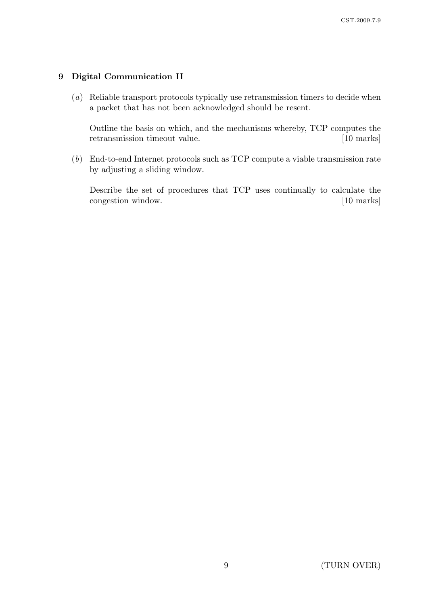## 9 Digital Communication II

(a) Reliable transport protocols typically use retransmission timers to decide when a packet that has not been acknowledged should be resent.

Outline the basis on which, and the mechanisms whereby, TCP computes the retransmission timeout value. [10 marks]

(b) End-to-end Internet protocols such as TCP compute a viable transmission rate by adjusting a sliding window.

Describe the set of procedures that TCP uses continually to calculate the congestion window. [10 marks]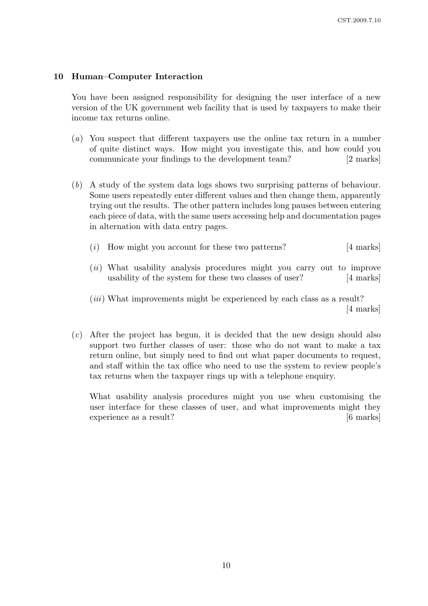### 10 Human–Computer Interaction

You have been assigned responsibility for designing the user interface of a new version of the UK government web facility that is used by taxpayers to make their income tax returns online.

- (a) You suspect that different taxpayers use the online tax return in a number of quite distinct ways. How might you investigate this, and how could you communicate your findings to the development team? [2 marks]
- (b) A study of the system data logs shows two surprising patterns of behaviour. Some users repeatedly enter different values and then change them, apparently trying out the results. The other pattern includes long pauses between entering each piece of data, with the same users accessing help and documentation pages in alternation with data entry pages.
	- $(i)$  How might you account for these two patterns? [4 marks]
	- (ii) What usability analysis procedures might you carry out to improve usability of the system for these two classes of user? [4 marks]
	- (*iii*) What improvements might be experienced by each class as a result? [4 marks]
- (c) After the project has begun, it is decided that the new design should also support two further classes of user: those who do not want to make a tax return online, but simply need to find out what paper documents to request, and staff within the tax office who need to use the system to review people's tax returns when the taxpayer rings up with a telephone enquiry.

What usability analysis procedures might you use when customising the user interface for these classes of user, and what improvements might they experience as a result?  $[6 \text{ marks}]$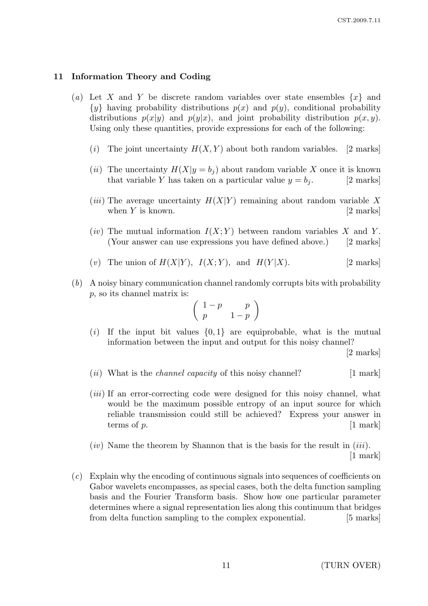#### 11 Information Theory and Coding

- (a) Let X and Y be discrete random variables over state ensembles  $\{x\}$  and  $\{y\}$  having probability distributions  $p(x)$  and  $p(y)$ , conditional probability distributions  $p(x|y)$  and  $p(y|x)$ , and joint probability distribution  $p(x, y)$ . Using only these quantities, provide expressions for each of the following:
	- (i) The joint uncertainty  $H(X, Y)$  about both random variables. [2 marks]
	- (*ii*) The uncertainty  $H(X|y = b_i)$  about random variable X once it is known that variable Y has taken on a particular value  $y = b_j$ . [2 marks]
	- (*iii*) The average uncertainty  $H(X|Y)$  remaining about random variable X when  $Y$  is known.  $[2 \text{ marks}]$
	- (iv) The mutual information  $I(X; Y)$  between random variables X and Y. (Your answer can use expressions you have defined above.) [2 marks]
	- (v) The union of  $H(X|Y)$ ,  $I(X;Y)$ , and  $H(Y|X)$ . [2 marks]
- (b) A noisy binary communication channel randomly corrupts bits with probability p, so its channel matrix is:

$$
\left(\begin{array}{cc} 1-p & p \\ p & 1-p \end{array}\right)
$$

(i) If the input bit values  $\{0,1\}$  are equiprobable, what is the mutual information between the input and output for this noisy channel?

[2 marks]

- (*ii*) What is the *channel capacity* of this noisy channel?  $[1 \text{ mark}]$
- (*iii*) If an error-correcting code were designed for this noisy channel, what would be the maximum possible entropy of an input source for which reliable transmission could still be achieved? Express your answer in terms of  $p$ .  $\boxed{1 \text{ mark}}$
- $(iv)$  Name the theorem by Shannon that is the basis for the result in  $(iii)$ . [1 mark]
- (c) Explain why the encoding of continuous signals into sequences of coefficients on Gabor wavelets encompasses, as special cases, both the delta function sampling basis and the Fourier Transform basis. Show how one particular parameter determines where a signal representation lies along this continuum that bridges from delta function sampling to the complex exponential. [5 marks]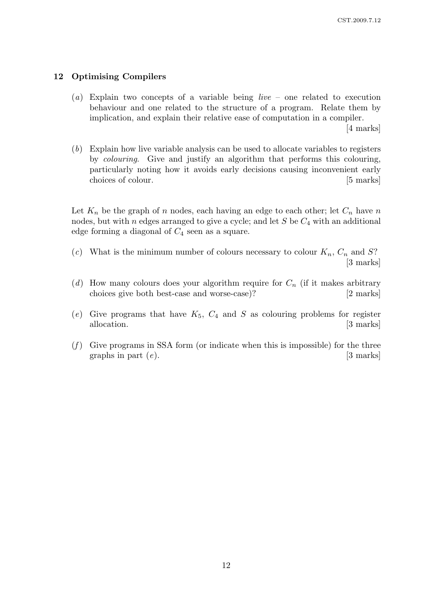## 12 Optimising Compilers

(a) Explain two concepts of a variable being *live –* one related to execution behaviour and one related to the structure of a program. Relate them by implication, and explain their relative ease of computation in a compiler.

[4 marks]

(b) Explain how live variable analysis can be used to allocate variables to registers by colouring. Give and justify an algorithm that performs this colouring, particularly noting how it avoids early decisions causing inconvenient early choices of colour. [5 marks]

Let  $K_n$  be the graph of n nodes, each having an edge to each other; let  $C_n$  have n nodes, but with n edges arranged to give a cycle; and let  $S$  be  $C_4$  with an additional edge forming a diagonal of  $C_4$  seen as a square.

- (c) What is the minimum number of colours necessary to colour  $K_n$ ,  $C_n$  and S? [3 marks]
- (d) How many colours does your algorithm require for  $C_n$  (if it makes arbitrary choices give both best-case and worse-case)? [2 marks]
- (e) Give programs that have  $K_5$ ,  $C_4$  and S as colouring problems for register allocation. [3 marks]
- $(f)$  Give programs in SSA form (or indicate when this is impossible) for the three graphs in part  $(e)$ . [3 marks]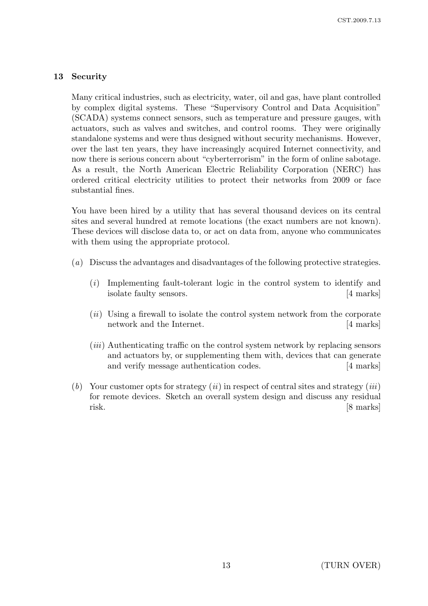## 13 Security

Many critical industries, such as electricity, water, oil and gas, have plant controlled by complex digital systems. These "Supervisory Control and Data Acquisition" (SCADA) systems connect sensors, such as temperature and pressure gauges, with actuators, such as valves and switches, and control rooms. They were originally standalone systems and were thus designed without security mechanisms. However, over the last ten years, they have increasingly acquired Internet connectivity, and now there is serious concern about "cyberterrorism" in the form of online sabotage. As a result, the North American Electric Reliability Corporation (NERC) has ordered critical electricity utilities to protect their networks from 2009 or face substantial fines.

You have been hired by a utility that has several thousand devices on its central sites and several hundred at remote locations (the exact numbers are not known). These devices will disclose data to, or act on data from, anyone who communicates with them using the appropriate protocol.

- (a) Discuss the advantages and disadvantages of the following protective strategies.
	- (i) Implementing fault-tolerant logic in the control system to identify and isolate faulty sensors. [4 marks]
	- $(ii)$  Using a firewall to isolate the control system network from the corporate network and the Internet. [4 marks]
	- (*iii*) Authenticating traffic on the control system network by replacing sensors and actuators by, or supplementing them with, devices that can generate and verify message authentication codes. [4 marks]
- (b) Your customer opts for strategy  $(ii)$  in respect of central sites and strategy  $(iii)$ for remote devices. Sketch an overall system design and discuss any residual risk. [8 marks]